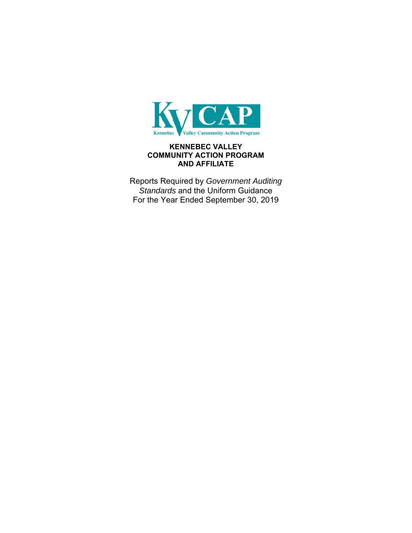

## **KENNEBEC VALLEY COMMUNITY ACTION PROGRAM AND AFFILIATE**

Reports Required by *Government Auditing Standards* and the Uniform Guidance For the Year Ended September 30, 2019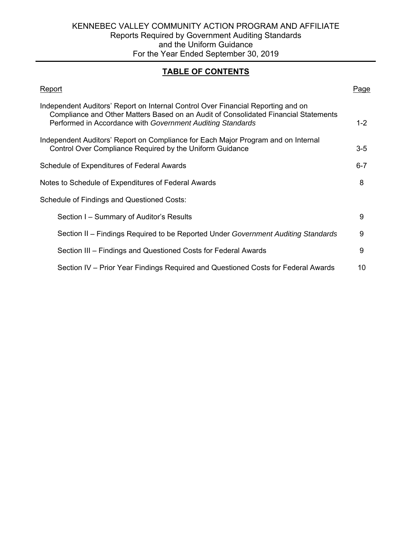## **TABLE OF CONTENTS**

| Report                                                                                                                                                                                                                                | Page    |
|---------------------------------------------------------------------------------------------------------------------------------------------------------------------------------------------------------------------------------------|---------|
| Independent Auditors' Report on Internal Control Over Financial Reporting and on<br>Compliance and Other Matters Based on an Audit of Consolidated Financial Statements<br>Performed in Accordance with Government Auditing Standards | $1 - 2$ |
| Independent Auditors' Report on Compliance for Each Major Program and on Internal<br>Control Over Compliance Required by the Uniform Guidance                                                                                         | $3-5$   |
| Schedule of Expenditures of Federal Awards                                                                                                                                                                                            | $6 - 7$ |
| Notes to Schedule of Expenditures of Federal Awards                                                                                                                                                                                   | 8       |
| Schedule of Findings and Questioned Costs:                                                                                                                                                                                            |         |
| Section I – Summary of Auditor's Results                                                                                                                                                                                              | 9       |
| Section II – Findings Required to be Reported Under Government Auditing Standards                                                                                                                                                     | 9       |
| Section III – Findings and Questioned Costs for Federal Awards                                                                                                                                                                        | 9       |
| Section IV – Prior Year Findings Required and Questioned Costs for Federal Awards                                                                                                                                                     | 10      |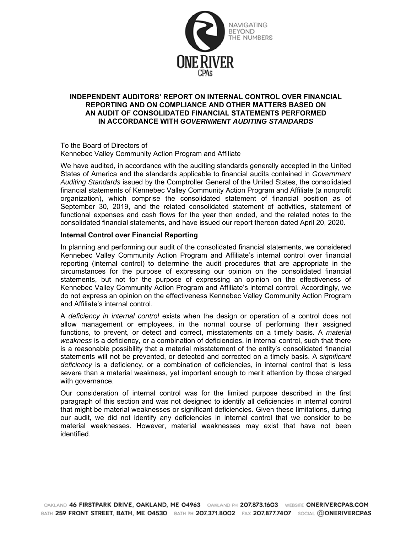

#### **INDEPENDENT AUDITORS' REPORT ON INTERNAL CONTROL OVER FINANCIAL REPORTING AND ON COMPLIANCE AND OTHER MATTERS BASED ON AN AUDIT OF CONSOLIDATED FINANCIAL STATEMENTS PERFORMED IN ACCORDANCE WITH** *GOVERNMENT AUDITING STANDARDS*

To the Board of Directors of Kennebec Valley Community Action Program and Affiliate

We have audited, in accordance with the auditing standards generally accepted in the United States of America and the standards applicable to financial audits contained in *Government Auditing Standards* issued by the Comptroller General of the United States, the consolidated financial statements of Kennebec Valley Community Action Program and Affiliate (a nonprofit organization), which comprise the consolidated statement of financial position as of September 30, 2019, and the related consolidated statement of activities, statement of functional expenses and cash flows for the year then ended, and the related notes to the consolidated financial statements, and have issued our report thereon dated April 20, 2020.

#### **Internal Control over Financial Reporting**

In planning and performing our audit of the consolidated financial statements, we considered Kennebec Valley Community Action Program and Affiliate's internal control over financial reporting (internal control) to determine the audit procedures that are appropriate in the circumstances for the purpose of expressing our opinion on the consolidated financial statements, but not for the purpose of expressing an opinion on the effectiveness of Kennebec Valley Community Action Program and Affiliate's internal control. Accordingly, we do not express an opinion on the effectiveness Kennebec Valley Community Action Program and Affiliate's internal control.

A *deficiency in internal control* exists when the design or operation of a control does not allow management or employees, in the normal course of performing their assigned functions, to prevent, or detect and correct, misstatements on a timely basis. A *material weakness* is a deficiency, or a combination of deficiencies, in internal control, such that there is a reasonable possibility that a material misstatement of the entity's consolidated financial statements will not be prevented, or detected and corrected on a timely basis. A *significant deficiency* is a deficiency, or a combination of deficiencies, in internal control that is less severe than a material weakness, yet important enough to merit attention by those charged with governance.

Our consideration of internal control was for the limited purpose described in the first paragraph of this section and was not designed to identify all deficiencies in internal control that might be material weaknesses or significant deficiencies. Given these limitations, during our audit, we did not identify any deficiencies in internal control that we consider to be material weaknesses. However, material weaknesses may exist that have not been identified.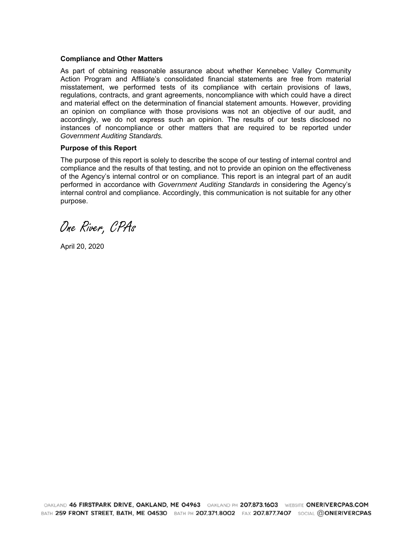#### **Compliance and Other Matters**

As part of obtaining reasonable assurance about whether Kennebec Valley Community Action Program and Affiliate's consolidated financial statements are free from material misstatement, we performed tests of its compliance with certain provisions of laws, regulations, contracts, and grant agreements, noncompliance with which could have a direct and material effect on the determination of financial statement amounts. However, providing an opinion on compliance with those provisions was not an objective of our audit, and accordingly, we do not express such an opinion. The results of our tests disclosed no instances of noncompliance or other matters that are required to be reported under *Government Auditing Standards.*

#### **Purpose of this Report**

The purpose of this report is solely to describe the scope of our testing of internal control and compliance and the results of that testing, and not to provide an opinion on the effectiveness of the Agency's internal control or on compliance. This report is an integral part of an audit performed in accordance with *Government Auditing Standards* in considering the Agency's internal control and compliance. Accordingly, this communication is not suitable for any other purpose.

One River, CPAs

April 20, 2020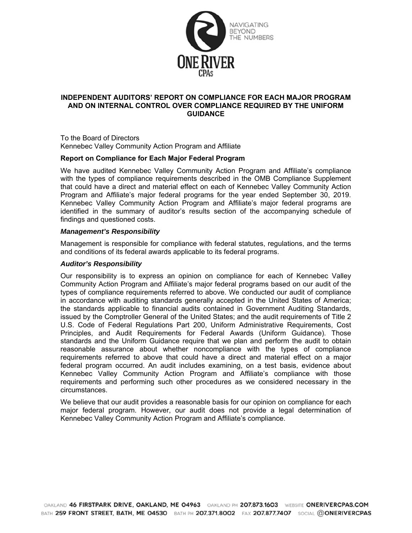

#### **INDEPENDENT AUDITORS' REPORT ON COMPLIANCE FOR EACH MAJOR PROGRAM AND ON INTERNAL CONTROL OVER COMPLIANCE REQUIRED BY THE UNIFORM GUIDANCE**

To the Board of Directors Kennebec Valley Community Action Program and Affiliate

#### **Report on Compliance for Each Major Federal Program**

We have audited Kennebec Valley Community Action Program and Affiliate's compliance with the types of compliance requirements described in the OMB Compliance Supplement that could have a direct and material effect on each of Kennebec Valley Community Action Program and Affiliate's major federal programs for the year ended September 30, 2019. Kennebec Valley Community Action Program and Affiliate's major federal programs are identified in the summary of auditor's results section of the accompanying schedule of findings and questioned costs.

#### *Management's Responsibility*

Management is responsible for compliance with federal statutes, regulations, and the terms and conditions of its federal awards applicable to its federal programs.

#### *Auditor's Responsibility*

Our responsibility is to express an opinion on compliance for each of Kennebec Valley Community Action Program and Affiliate's major federal programs based on our audit of the types of compliance requirements referred to above. We conducted our audit of compliance in accordance with auditing standards generally accepted in the United States of America; the standards applicable to financial audits contained in Government Auditing Standards, issued by the Comptroller General of the United States; and the audit requirements of Title 2 U.S. Code of Federal Regulations Part 200, Uniform Administrative Requirements, Cost Principles, and Audit Requirements for Federal Awards (Uniform Guidance). Those standards and the Uniform Guidance require that we plan and perform the audit to obtain reasonable assurance about whether noncompliance with the types of compliance requirements referred to above that could have a direct and material effect on a major federal program occurred. An audit includes examining, on a test basis, evidence about Kennebec Valley Community Action Program and Affiliate's compliance with those requirements and performing such other procedures as we considered necessary in the circumstances.

We believe that our audit provides a reasonable basis for our opinion on compliance for each major federal program. However, our audit does not provide a legal determination of Kennebec Valley Community Action Program and Affiliate's compliance.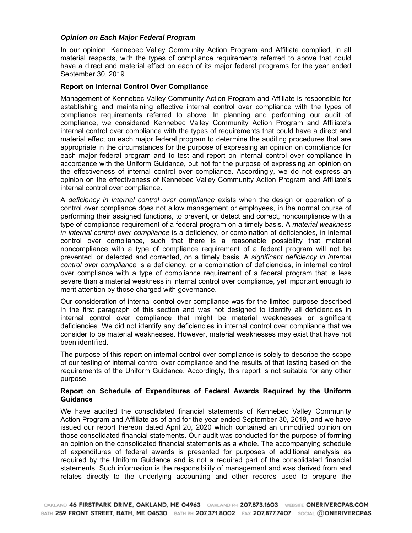#### *Opinion on Each Major Federal Program*

In our opinion, Kennebec Valley Community Action Program and Affiliate complied, in all material respects, with the types of compliance requirements referred to above that could have a direct and material effect on each of its major federal programs for the year ended September 30, 2019.

#### **Report on Internal Control Over Compliance**

Management of Kennebec Valley Community Action Program and Affiliate is responsible for establishing and maintaining effective internal control over compliance with the types of compliance requirements referred to above. In planning and performing our audit of compliance, we considered Kennebec Valley Community Action Program and Affiliate's internal control over compliance with the types of requirements that could have a direct and material effect on each major federal program to determine the auditing procedures that are appropriate in the circumstances for the purpose of expressing an opinion on compliance for each major federal program and to test and report on internal control over compliance in accordance with the Uniform Guidance, but not for the purpose of expressing an opinion on the effectiveness of internal control over compliance. Accordingly, we do not express an opinion on the effectiveness of Kennebec Valley Community Action Program and Affiliate's internal control over compliance.

A *deficiency in internal control over compliance* exists when the design or operation of a control over compliance does not allow management or employees, in the normal course of performing their assigned functions, to prevent, or detect and correct, noncompliance with a type of compliance requirement of a federal program on a timely basis. A *material weakness in internal control over compliance* is a deficiency, or combination of deficiencies, in internal control over compliance, such that there is a reasonable possibility that material noncompliance with a type of compliance requirement of a federal program will not be prevented, or detected and corrected, on a timely basis. A *significant deficiency in internal control over compliance* is a deficiency, or a combination of deficiencies, in internal control over compliance with a type of compliance requirement of a federal program that is less severe than a material weakness in internal control over compliance, yet important enough to merit attention by those charged with governance.

Our consideration of internal control over compliance was for the limited purpose described in the first paragraph of this section and was not designed to identify all deficiencies in internal control over compliance that might be material weaknesses or significant deficiencies. We did not identify any deficiencies in internal control over compliance that we consider to be material weaknesses. However, material weaknesses may exist that have not been identified.

The purpose of this report on internal control over compliance is solely to describe the scope of our testing of internal control over compliance and the results of that testing based on the requirements of the Uniform Guidance. Accordingly, this report is not suitable for any other purpose.

#### **Report on Schedule of Expenditures of Federal Awards Required by the Uniform Guidance**

We have audited the consolidated financial statements of Kennebec Valley Community Action Program and Affiliate as of and for the year ended September 30, 2019, and we have issued our report thereon dated April 20, 2020 which contained an unmodified opinion on those consolidated financial statements. Our audit was conducted for the purpose of forming an opinion on the consolidated financial statements as a whole. The accompanying schedule of expenditures of federal awards is presented for purposes of additional analysis as required by the Uniform Guidance and is not a required part of the consolidated financial statements. Such information is the responsibility of management and was derived from and relates directly to the underlying accounting and other records used to prepare the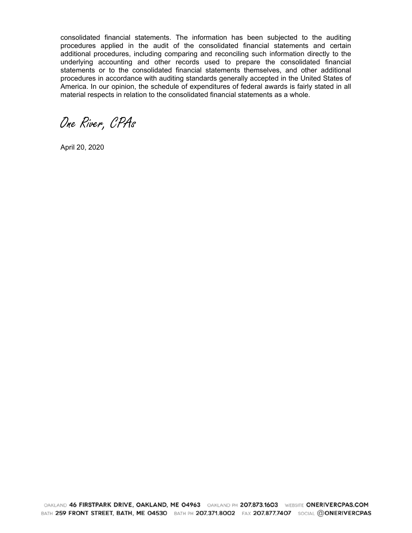consolidated financial statements. The information has been subjected to the auditing procedures applied in the audit of the consolidated financial statements and certain additional procedures, including comparing and reconciling such information directly to the underlying accounting and other records used to prepare the consolidated financial statements or to the consolidated financial statements themselves, and other additional procedures in accordance with auditing standards generally accepted in the United States of America. In our opinion, the schedule of expenditures of federal awards is fairly stated in all material respects in relation to the consolidated financial statements as a whole.

One River, CPAs

April 20, 2020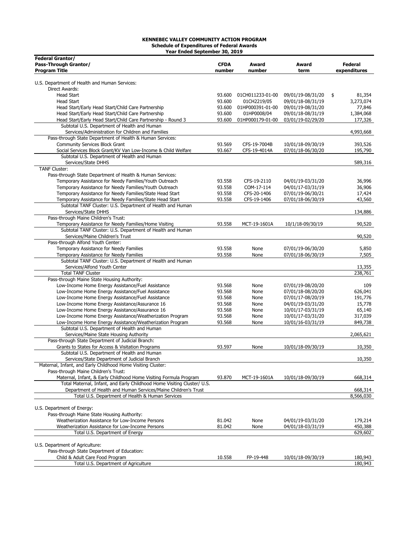#### **KENNEBEC VALLEY COMMUNITY ACTION PROGRAM Schedule of Expenditures of Federal Awards Year Ended September 30, 2019**

| <b>Federal Grantor/</b>                                                 |             |                  |                   |                |
|-------------------------------------------------------------------------|-------------|------------------|-------------------|----------------|
| Pass-Through Grantor/                                                   | <b>CFDA</b> | Award            | Award             | <b>Federal</b> |
| <b>Program Title</b>                                                    | number      | number           | term              | expenditures   |
|                                                                         |             |                  |                   |                |
|                                                                         |             |                  |                   |                |
| U.S. Department of Health and Human Services:                           |             |                  |                   |                |
| Direct Awards:                                                          |             |                  |                   |                |
| <b>Head Start</b>                                                       | 93.600      | 01CH011233-01-00 | 09/01/19-08/31/20 | 81,354<br>\$   |
| <b>Head Start</b>                                                       | 93.600      | 01CH2219/05      | 09/01/18-08/31/19 | 3,273,074      |
| Head Start/Early Head Start/Child Care Partnership                      | 93.600      | 01HP000391-01-00 | 09/01/19-08/31/20 | 77,846         |
| Head Start/Early Head Start/Child Care Partnership                      | 93.600      | 01HP0008/04      | 09/01/18-08/31/19 | 1,384,068      |
| Head Start/Early Head Start/Child Care Partnership - Round 3            | 93.600      | 01HP000179-01-00 | 03/01/19-02/29/20 | 177,326        |
| Subtotal U.S. Department of Health and Human                            |             |                  |                   |                |
|                                                                         |             |                  |                   |                |
| Services/Administration for Children and Families                       |             |                  |                   | 4,993,668      |
| Pass-through State Department of Health & Human Services:               |             |                  |                   |                |
| <b>Community Services Block Grant</b>                                   | 93.569      | CFS-19-7004B     | 10/01/18-09/30/19 | 393,526        |
| Social Services Block Grant/KV Van Low-Income & Child Welfare           | 93.667      | CFS-19-4014A     | 07/01/18-06/30/20 | 195,790        |
| Subtotal U.S. Department of Health and Human                            |             |                  |                   |                |
| Services/State DHHS                                                     |             |                  |                   | 589,316        |
| <b>TANF Cluster:</b>                                                    |             |                  |                   |                |
| Pass-through State Department of Health & Human Services:               |             |                  |                   |                |
|                                                                         |             |                  |                   |                |
| Temporary Assistance for Needy Families/Youth Outreach                  | 93.558      | CFS-19-2110      | 04/01/19-03/31/20 | 36,996         |
| Temporary Assistance for Needy Families/Youth Outreach                  | 93.558      | COM-17-114       | 04/01/17-03/31/19 | 36,906         |
| Temporary Assistance for Needy Families/State Head Start                | 93.558      | CFS-20-1406      | 07/01/19-06/30/21 | 17,424         |
| Temporary Assistance for Needy Families/State Head Start                | 93.558      | CFS-19-1406      | 07/01/18-06/30/19 | 43,560         |
| Subtotal TANF Cluster: U.S. Department of Health and Human              |             |                  |                   |                |
| Services/State DHHS                                                     |             |                  |                   | 134,886        |
| Pass-through Maine Children's Trust:                                    |             |                  |                   |                |
| Temporary Assistance for Needy Families/Home Visiting                   | 93.558      | MCT-19-1601A     | 10/1/18-09/30/19  | 90,520         |
|                                                                         |             |                  |                   |                |
| Subtotal TANF Cluster: U.S. Department of Health and Human              |             |                  |                   |                |
| Services/Maine Children's Trust                                         |             |                  |                   | 90,520         |
| Pass-through Alfond Youth Center:                                       |             |                  |                   |                |
| Temporary Assistance for Needy Families                                 | 93.558      | None             | 07/01/19-06/30/20 | 5,850          |
| Temporary Assistance for Needy Families                                 | 93.558      | None             | 07/01/18-06/30/19 | 7,505          |
| Subtotal TANF Cluster: U.S. Department of Health and Human              |             |                  |                   |                |
| Services/Alfond Youth Center                                            |             |                  |                   | 13,355         |
| <b>Total TANF Cluster</b>                                               |             |                  |                   | 238,761        |
|                                                                         |             |                  |                   |                |
| Pass-through Maine State Housing Authority:                             |             |                  |                   |                |
| Low-Income Home Energy Assistance/Fuel Assistance                       | 93.568      | None             | 07/01/19-08/20/20 | 109            |
| Low-Income Home Energy Assistance/Fuel Assistance                       | 93.568      | None             | 07/01/18-08/20/20 | 626,041        |
| Low-Income Home Energy Assistance/Fuel Assistance                       | 93.568      | None             | 07/01/17-08/20/19 | 191,776        |
| Low-Income Home Energy Assistance/Assurance 16                          | 93.568      | None             | 04/01/19-03/31/20 | 15,778         |
| Low-Income Home Energy Assistance/Assurance 16                          | 93.568      | None             | 10/01/17-03/31/19 | 65,140         |
| Low-Income Home Energy Assistance/Weatherization Program                | 93.568      | None             | 10/01/17-03/31/20 | 317,039        |
| Low-Income Home Energy Assistance/Weatherization Program                | 93.568      | None             | 10/01/16-03/31/19 | 849,738        |
|                                                                         |             |                  |                   |                |
| Subtotal U.S. Department of Health and Human                            |             |                  |                   |                |
| Services/Maine State Housing Authority                                  |             |                  |                   | 2,065,621      |
| Pass-through State Department of Judicial Branch:                       |             |                  |                   |                |
| Grants to States for Access & Visitation Programs                       | 93.597      | None             | 10/01/18-09/30/19 | 10,350         |
| Subtotal U.S. Department of Health and Human                            |             |                  |                   |                |
| Services/State Department of Judicial Branch                            |             |                  |                   | 10,350         |
| Maternal, Infant, and Early Childhood Home Visiting Cluster:            |             |                  |                   |                |
| Pass-through Maine Children's Trust:                                    |             |                  |                   |                |
|                                                                         |             |                  |                   |                |
| Maternal, Infant, & Early Childhood Home Visiting Formula Program       | 93.870      | MCT-19-1601A     | 10/01/18-09/30/19 | 668,314        |
| Total Maternal, Infant, and Early Childhood Home Visiting Cluster/ U.S. |             |                  |                   |                |
| Department of Health and Human Services/Maine Children's Trust          |             |                  |                   | 668,314        |
| Total U.S. Department of Health & Human Services                        |             |                  |                   | 8,566,030      |
|                                                                         |             |                  |                   |                |
| U.S. Department of Energy:                                              |             |                  |                   |                |
| Pass-through Maine State Housing Authority:                             |             |                  |                   |                |
| Weatherization Assistance for Low-Income Persons                        | 81.042      | None             | 04/01/19-03/31/20 | 179,214        |
|                                                                         |             |                  |                   |                |
| Weatherization Assistance for Low-Income Persons                        | 81.042      | None             | 04/01/18-03/31/19 | 450,388        |
| Total U.S. Department of Energy                                         |             |                  |                   | 629,602        |
|                                                                         |             |                  |                   |                |
| U.S. Department of Agriculture:                                         |             |                  |                   |                |
| Pass-through State Department of Education:                             |             |                  |                   |                |
| Child & Adult Care Food Program                                         | 10.558      | FP-19-448        | 10/01/18-09/30/19 | 180,943        |
| Total U.S. Department of Agriculture                                    |             |                  |                   | 180,943        |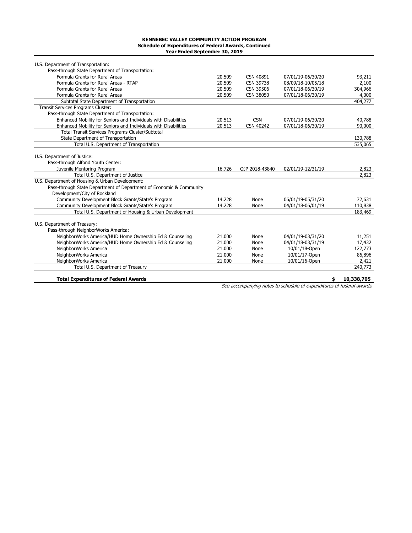#### **Year Ended September 30, 2019 KENNEBEC VALLEY COMMUNITY ACTION PROGRAM Schedule of Expenditures of Federal Awards, Continued**

| U.S. Department of Transportation:                                  |        |                  |                   |         |
|---------------------------------------------------------------------|--------|------------------|-------------------|---------|
| Pass-through State Department of Transportation:                    |        |                  |                   |         |
| Formula Grants for Rural Areas                                      | 20.509 | <b>CSN 40891</b> | 07/01/19-06/30/20 | 93,211  |
| Formula Grants for Rural Areas - RTAP                               | 20.509 | <b>CSN 39738</b> | 08/09/18-10/05/18 | 2,100   |
| Formula Grants for Rural Areas                                      | 20.509 | <b>CSN 39506</b> | 07/01/18-06/30/19 | 304,966 |
| Formula Grants for Rural Areas                                      | 20.509 | <b>CSN 38050</b> | 07/01/18-06/30/19 | 4,000   |
| Subtotal State Department of Transportation                         |        |                  |                   | 404,277 |
| Transit Services Programs Cluster:                                  |        |                  |                   |         |
| Pass-through State Department of Transportation:                    |        |                  |                   |         |
| Enhanced Mobility for Seniors and Individuals with Disabilities     | 20.513 | <b>CSN</b>       | 07/01/19-06/30/20 | 40,788  |
| Enhanced Mobility for Seniors and Individuals with Disabilities     | 20.513 | <b>CSN 40242</b> | 07/01/18-06/30/19 | 90,000  |
| Total Transit Services Programs Cluster/Subtotal                    |        |                  |                   |         |
| State Department of Transportation                                  |        |                  |                   | 130,788 |
| Total U.S. Department of Transportation                             |        |                  |                   | 535,065 |
|                                                                     |        |                  |                   |         |
| U.S. Department of Justice:                                         |        |                  |                   |         |
| Pass-through Alfond Youth Center:                                   |        |                  |                   |         |
| Juvenile Mentoring Program                                          | 16.726 | OJP 2018-43840   | 02/01/19-12/31/19 | 2,823   |
| Total U.S. Department of Justice                                    |        |                  |                   | 2,823   |
| U.S. Department of Housing & Urban Development:                     |        |                  |                   |         |
| Pass-through State Department of Department of Economic & Community |        |                  |                   |         |
| Development/City of Rockland                                        |        |                  |                   |         |
| Community Development Block Grants/State's Program                  | 14.228 | None             | 06/01/19-05/31/20 | 72,631  |
| Community Development Block Grants/State's Program                  | 14.228 | None             | 04/01/18-06/01/19 | 110,838 |
| Total U.S. Department of Housing & Urban Development                |        |                  |                   | 183,469 |
|                                                                     |        |                  |                   |         |
| U.S. Department of Treasury:                                        |        |                  |                   |         |
| Pass-through NeighborWorks America:                                 |        |                  |                   |         |
| NeighborWorks America/HUD Home Ownership Ed & Counseling            | 21.000 | None             | 04/01/19-03/31/20 | 11,251  |
| NeighborWorks America/HUD Home Ownership Ed & Counseling            | 21.000 | None             | 04/01/18-03/31/19 | 17,432  |
| NeighborWorks America                                               | 21,000 | None             | 10/01/18-Open     | 122,773 |
| NeighborWorks America                                               | 21,000 | None             | 10/01/17-Open     | 86,896  |
| NeighborWorks America                                               | 21.000 | None             | 10/01/16-Open     | 2,421   |
| Total U.S. Department of Treasury                                   |        |                  |                   | 240,773 |
|                                                                     |        |                  |                   |         |

**Total Expenditures of Federal Awards by the set of the set of the set of the set of the set of the set of the set of the set of the set of the set of the set of the set of the set of the set of the set of the set of the** 

See accompanying notes to schedule of expenditures of federal awards.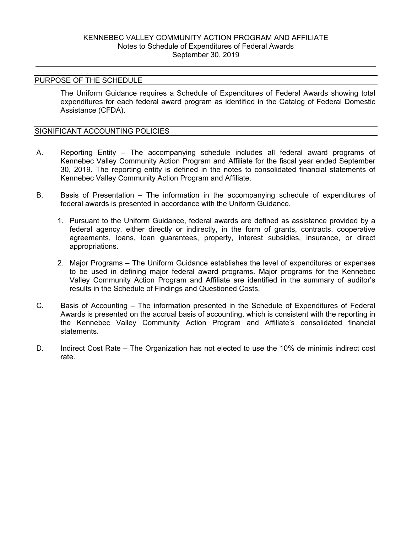### PURPOSE OF THE SCHEDULE

The Uniform Guidance requires a Schedule of Expenditures of Federal Awards showing total expenditures for each federal award program as identified in the Catalog of Federal Domestic Assistance (CFDA).

#### SIGNIFICANT ACCOUNTING POLICIES

- A. Reporting Entity The accompanying schedule includes all federal award programs of Kennebec Valley Community Action Program and Affiliate for the fiscal year ended September 30, 2019. The reporting entity is defined in the notes to consolidated financial statements of Kennebec Valley Community Action Program and Affiliate.
- B. Basis of Presentation The information in the accompanying schedule of expenditures of federal awards is presented in accordance with the Uniform Guidance.
	- 1. Pursuant to the Uniform Guidance, federal awards are defined as assistance provided by a federal agency, either directly or indirectly, in the form of grants, contracts, cooperative agreements, loans, loan guarantees, property, interest subsidies, insurance, or direct appropriations.
	- 2. Major Programs The Uniform Guidance establishes the level of expenditures or expenses to be used in defining major federal award programs. Major programs for the Kennebec Valley Community Action Program and Affiliate are identified in the summary of auditor's results in the Schedule of Findings and Questioned Costs.
- C. Basis of Accounting The information presented in the Schedule of Expenditures of Federal Awards is presented on the accrual basis of accounting, which is consistent with the reporting in the Kennebec Valley Community Action Program and Affiliate's consolidated financial statements.
- D. Indirect Cost Rate The Organization has not elected to use the 10% de minimis indirect cost rate.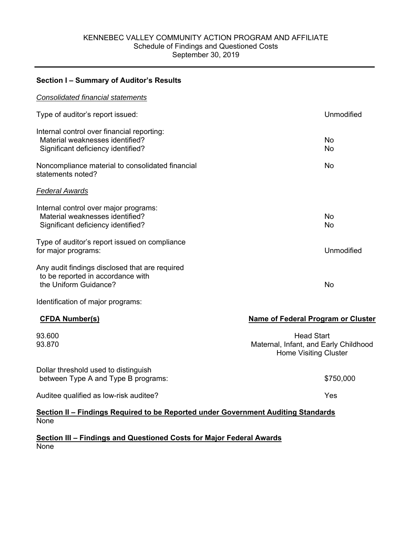#### KENNEBEC VALLEY COMMUNITY ACTION PROGRAM AND AFFILIATE Schedule of Findings and Questioned Costs September 30, 2019

# **Section I – Summary of Auditor's Results**  *Consolidated financial statements*  Type of auditor's report issued: Unmodified Internal control over financial reporting: Material weaknesses identified? No was a state of the state of the state of the state of the state of the state of the state of the state of the state of the state of the state of the state of the state of the state of the Significant deficiency identified? No was a series of the series of the series of the series of the series of the series of the series of the series of the series of the series of the series of the series of the series of Noncompliance material to consolidated financial statements noted? No *Federal Awards*  Internal control over major programs: Material weaknesses identified? No was a set of the set of the set of the set of the set of the set of the set of the set of the set of the set of the set of the set of the set of the set of the set of the set of the set o Significant deficiency identified? No was a set of the set of the set of the set of the set of the set of the set of the set of the set of the set of the set of the set of the set of the set of the set of the set of the se Type of auditor's report issued on compliance for major programs: Unmodified Any audit findings disclosed that are required to be reported in accordance with the Uniform Guidance? No was a state of the Uniform Guidance of the Uniform Control of the Uniform Control of the Uniform Control of the Uniform Control of the Uniform Control of the Uniform Control of the Uniform Control Identification of major programs:

### CFDA Number(s) **Name of Federal Program or Cluster Name of Federal Program or Cluster**

| 93.600 | <b>Head Start</b>                     |
|--------|---------------------------------------|
| 93.870 | Maternal, Infant, and Early Childhood |
|        | Home Visiting Cluster                 |

| Dollar threshold used to distinguish |           |
|--------------------------------------|-----------|
| between Type A and Type B programs:  | \$750,000 |

Auditee qualified as low-risk auditee? Auditee was a series of the series of the Ves

#### **Section II – Findings Required to be Reported under Government Auditing Standards**  None

**Section III – Findings and Questioned Costs for Major Federal Awards**  None